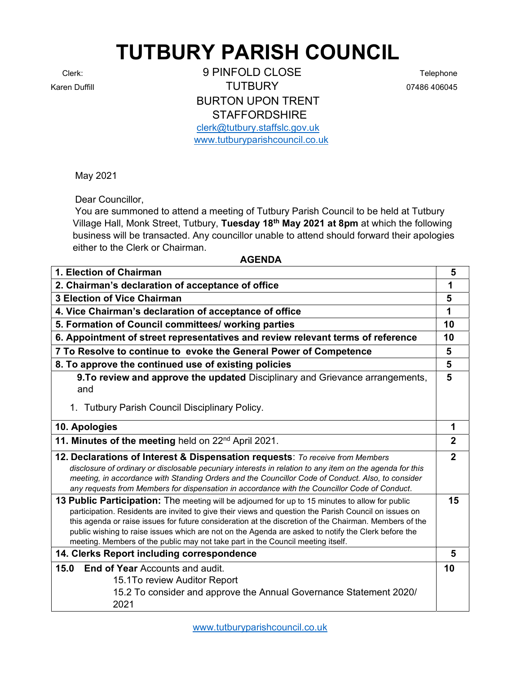## TUTBURY PARISH COUNCIL

Clerk: 9 PINFOLD CLOSE Telephone Karen Duffill **Contract Contract Contract Contract Contract Contract Contract Contract Contract Contract Contract Contract Contract Contract Contract Contract Contract Contract Contract Contract Contract Contract Contract** BURTON UPON TRENT **STAFFORDSHIRE** clerk@tutbury.staffslc.gov.uk

www.tutburyparishcouncil.co.uk

May 2021

Dear Councillor,

 You are summoned to attend a meeting of Tutbury Parish Council to be held at Tutbury Village Hall, Monk Street, Tutbury, Tuesday 18th May 2021 at 8pm at which the following business will be transacted. Any councillor unable to attend should forward their apologies either to the Clerk or Chairman.

## AGENDA

| 1. Election of Chairman                                                                                                                                                                                                                                                                                                                                                                                                                                                                                      | 5              |
|--------------------------------------------------------------------------------------------------------------------------------------------------------------------------------------------------------------------------------------------------------------------------------------------------------------------------------------------------------------------------------------------------------------------------------------------------------------------------------------------------------------|----------------|
| 2. Chairman's declaration of acceptance of office                                                                                                                                                                                                                                                                                                                                                                                                                                                            | 1              |
| <b>3 Election of Vice Chairman</b>                                                                                                                                                                                                                                                                                                                                                                                                                                                                           | 5              |
| 4. Vice Chairman's declaration of acceptance of office                                                                                                                                                                                                                                                                                                                                                                                                                                                       | 1              |
| 5. Formation of Council committees/ working parties                                                                                                                                                                                                                                                                                                                                                                                                                                                          | 10             |
| 6. Appointment of street representatives and review relevant terms of reference                                                                                                                                                                                                                                                                                                                                                                                                                              | 10             |
| 7 To Resolve to continue to evoke the General Power of Competence                                                                                                                                                                                                                                                                                                                                                                                                                                            | 5              |
| 8. To approve the continued use of existing policies                                                                                                                                                                                                                                                                                                                                                                                                                                                         | 5              |
| 9. To review and approve the updated Disciplinary and Grievance arrangements,<br>and                                                                                                                                                                                                                                                                                                                                                                                                                         | 5              |
| 1. Tutbury Parish Council Disciplinary Policy.                                                                                                                                                                                                                                                                                                                                                                                                                                                               |                |
| 10. Apologies                                                                                                                                                                                                                                                                                                                                                                                                                                                                                                | 1              |
| 11. Minutes of the meeting held on 22 <sup>nd</sup> April 2021.                                                                                                                                                                                                                                                                                                                                                                                                                                              | $\mathbf{2}$   |
| 12. Declarations of Interest & Dispensation requests: To receive from Members<br>disclosure of ordinary or disclosable pecuniary interests in relation to any item on the agenda for this<br>meeting, in accordance with Standing Orders and the Councillor Code of Conduct. Also, to consider<br>any requests from Members for dispensation in accordance with the Councillor Code of Conduct.                                                                                                              | $\overline{2}$ |
| 13 Public Participation: The meeting will be adjourned for up to 15 minutes to allow for public<br>participation. Residents are invited to give their views and question the Parish Council on issues on<br>this agenda or raise issues for future consideration at the discretion of the Chairman. Members of the<br>public wishing to raise issues which are not on the Agenda are asked to notify the Clerk before the<br>meeting. Members of the public may not take part in the Council meeting itself. | 15             |
| 14. Clerks Report including correspondence                                                                                                                                                                                                                                                                                                                                                                                                                                                                   | 5              |
| <b>End of Year Accounts and audit.</b><br>15.0<br>15.1To review Auditor Report<br>15.2 To consider and approve the Annual Governance Statement 2020/<br>2021                                                                                                                                                                                                                                                                                                                                                 | 10             |